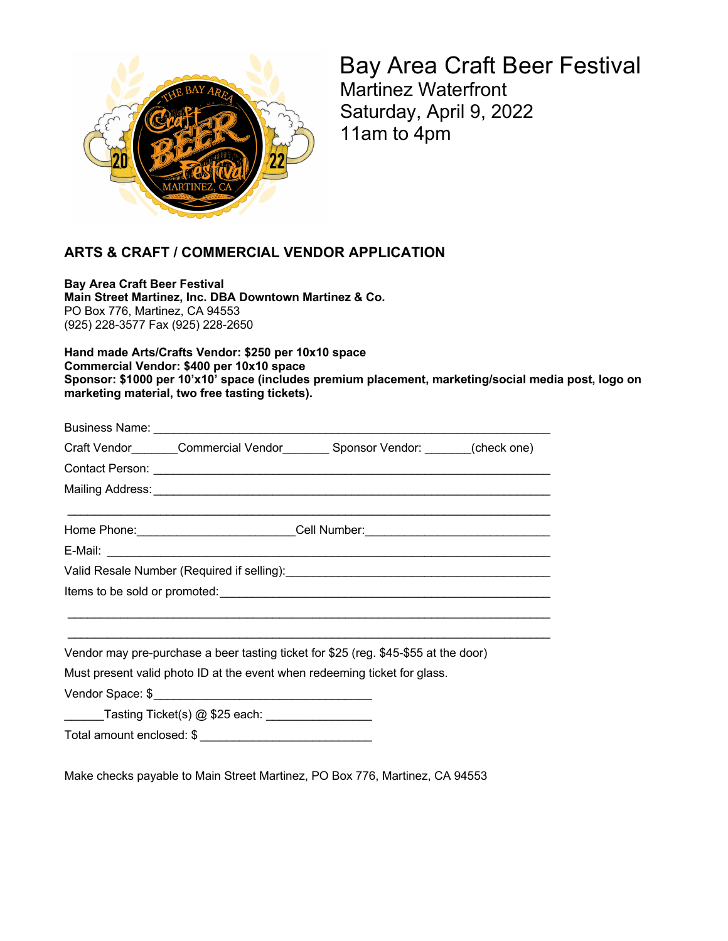

Bay Area Craft Beer Festival Martinez Waterfront Saturday, April 9, 2022 11am to 4pm

## **ARTS & CRAFT / COMMERCIAL VENDOR APPLICATION**

**Bay Area Craft Beer Festival Main Street Martinez, Inc. DBA Downtown Martinez & Co.** PO Box 776, Martinez, CA 94553 (925) 228-3577 Fax (925) 228-2650

**Hand made Arts/Crafts Vendor: \$250 per 10x10 space Commercial Vendor: \$400 per 10x10 space Sponsor: \$1000 per 10'x10' space (includes premium placement, marketing/social media post, logo on marketing material, two free tasting tickets).**

| Craft Vendor_______Commercial Vendor________ Sponsor Vendor: _______(check one)     |  |  |
|-------------------------------------------------------------------------------------|--|--|
|                                                                                     |  |  |
|                                                                                     |  |  |
|                                                                                     |  |  |
| Home Phone:_________________________Cell Number:________________________________    |  |  |
|                                                                                     |  |  |
|                                                                                     |  |  |
|                                                                                     |  |  |
|                                                                                     |  |  |
|                                                                                     |  |  |
| Vendor may pre-purchase a beer tasting ticket for \$25 (reg. \$45-\$55 at the door) |  |  |
| Must present valid photo ID at the event when redeeming ticket for glass.           |  |  |
|                                                                                     |  |  |
| _______Tasting Ticket(s) @ \$25 each: _________________                             |  |  |
|                                                                                     |  |  |
|                                                                                     |  |  |

Make checks payable to Main Street Martinez, PO Box 776, Martinez, CA 94553